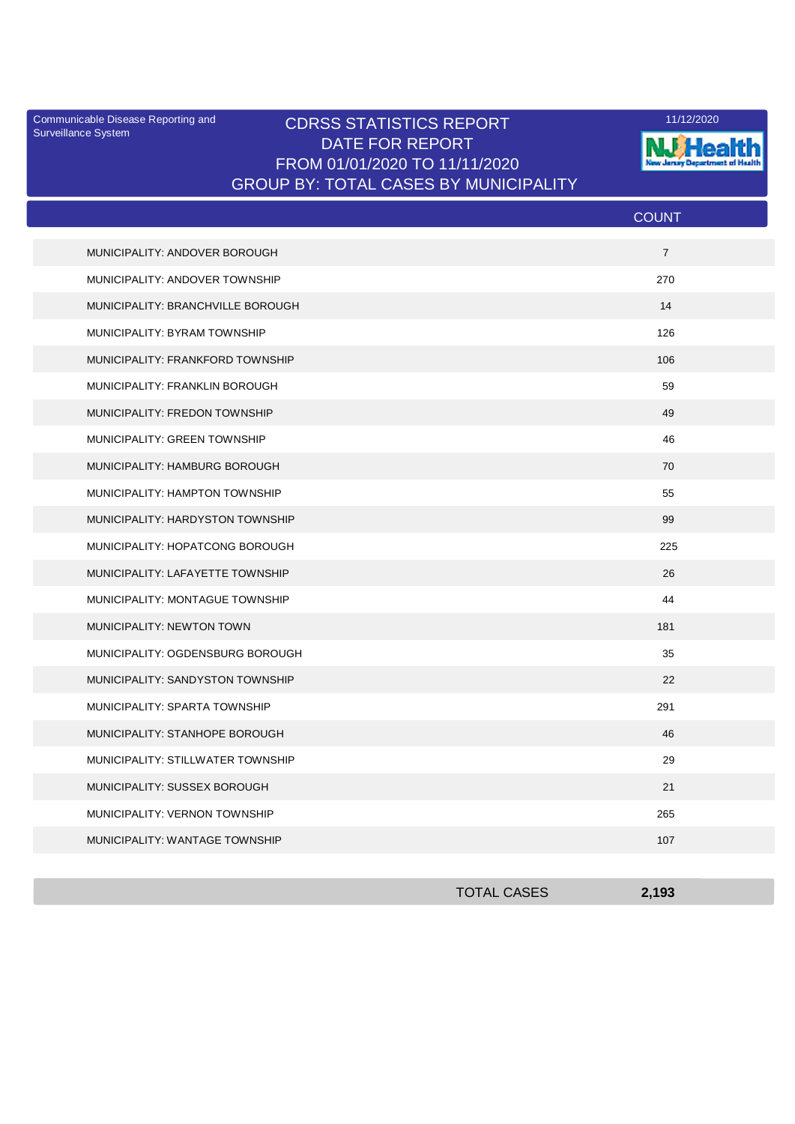Surveillance System

## Communicable Disease Reporting and **CDRSS STATISTICS REPORT** 11/12/2020<br>Surveillance Statem DATE FOR REPORT FROM 01/01/2020 TO 11/11/2020 GROUP BY: TOTAL CASES BY MUNICIPALITY



|                                       | <b>COUNT</b>   |
|---------------------------------------|----------------|
| MUNICIPALITY: ANDOVER BOROUGH         | $\overline{7}$ |
| MUNICIPALITY: ANDOVER TOWNSHIP        | 270            |
| MUNICIPALITY: BRANCHVILLE BOROUGH     | 14             |
| MUNICIPALITY: BYRAM TOWNSHIP          | 126            |
| MUNICIPALITY: FRANKFORD TOWNSHIP      | 106            |
| <b>MUNICIPALITY: FRANKLIN BOROUGH</b> | 59             |
| MUNICIPALITY: FREDON TOWNSHIP         | 49             |
| MUNICIPALITY: GREEN TOWNSHIP          | 46             |
| MUNICIPALITY: HAMBURG BOROUGH         | 70             |
| MUNICIPALITY: HAMPTON TOWNSHIP        | 55             |
| MUNICIPALITY: HARDYSTON TOWNSHIP      | 99             |
| MUNICIPALITY: HOPATCONG BOROUGH       | 225            |
| MUNICIPALITY: LAFAYETTE TOWNSHIP      | 26             |
| MUNICIPALITY: MONTAGUE TOWNSHIP       | 44             |
| MUNICIPALITY: NEWTON TOWN             | 181            |
| MUNICIPALITY: OGDENSBURG BOROUGH      | 35             |
| MUNICIPALITY: SANDYSTON TOWNSHIP      | 22             |
| MUNICIPALITY: SPARTA TOWNSHIP         | 291            |
| MUNICIPALITY: STANHOPE BOROUGH        | 46             |
| MUNICIPALITY: STILLWATER TOWNSHIP     | 29             |
| MUNICIPALITY: SUSSEX BOROUGH          | 21             |
| MUNICIPALITY: VERNON TOWNSHIP         | 265            |
| MUNICIPALITY: WANTAGE TOWNSHIP        | 107            |

| <b>TOTAL CASES</b> | 2,193 |
|--------------------|-------|
|                    |       |